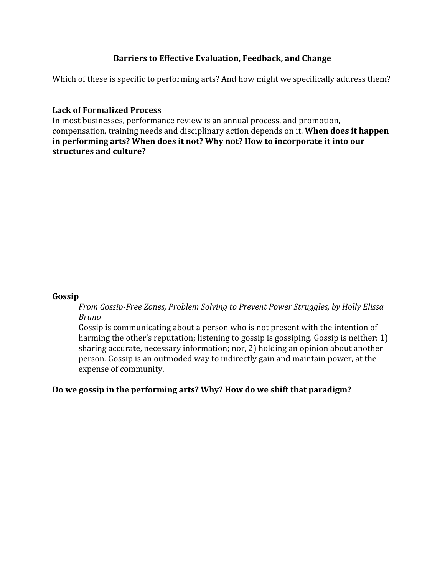# **Barriers to Effective Evaluation, Feedback, and Change**

Which of these is specific to performing arts? And how might we specifically address them?

### **Lack of Formalized Process**

In most businesses, performance review is an annual process, and promotion, compensation, training needs and disciplinary action depends on it. **When does it happen in performing arts? When does it not? Why not? How to incorporate it into our structures and culture?**

### **Gossip**

*From Gossip-Free Zones, Problem Solving to Prevent Power Struggles, by Holly Elissa Bruno*

Gossip is communicating about a person who is not present with the intention of harming the other's reputation; listening to gossip is gossiping. Gossip is neither: 1) sharing accurate, necessary information; nor, 2) holding an opinion about another person. Gossip is an outmoded way to indirectly gain and maintain power, at the expense of community.

# **Do we gossip in the performing arts? Why? How do we shift that paradigm?**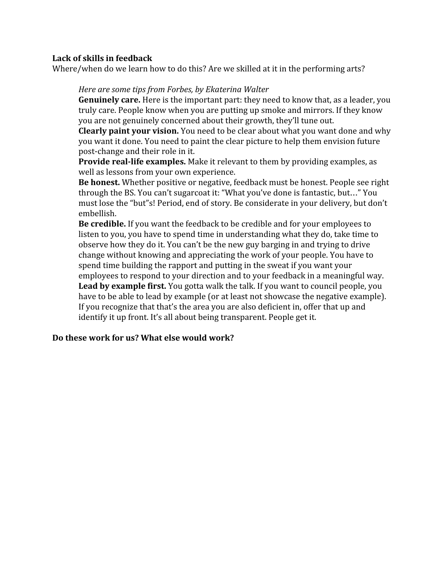## **Lack of skills in feedback**

Where/when do we learn how to do this? Are we skilled at it in the performing arts?

#### *Here are some tips from Forbes, by Ekaterina Walter*

**Genuinely care.**Here is the important part: they need to know that, as a leader, you truly care. People know when you are putting up smoke and mirrors. If they know you are not genuinely concerned about their growth, they'll tune out.

**Clearly paint your vision.**You need to be clear about what you want done and why you want it done. You need to paint the clear picture to help them envision future post-change and their role in it.

**Provide real-life examples.**Make it relevant to them by providing examples, as well as lessons from your own experience.

**Be honest.**Whether positive or negative, feedback must be honest. People see right through the BS. You can't sugarcoat it: "What you've done is fantastic, but…" You must lose the "but"s! Period, end of story. Be considerate in your delivery, but don't embellish.

**Be credible.**If you want the feedback to be credible and for your employees to listen to you, you have to spend time in understanding what they do, take time to observe how they do it. You can't be the new guy barging in and trying to drive change without knowing and appreciating the work of your people. You have to spend time building the rapport and putting in the sweat if you want your employees to respond to your direction and to your feedback in a meaningful way. **Lead by example first.** You gotta walk the talk. If you want to council people, you have to be able to lead by example (or at least not showcase the negative example). If you recognize that that's the area you are also deficient in, offer that up and identify it up front. It's all about being transparent. People get it.

#### **Do these work for us? What else would work?**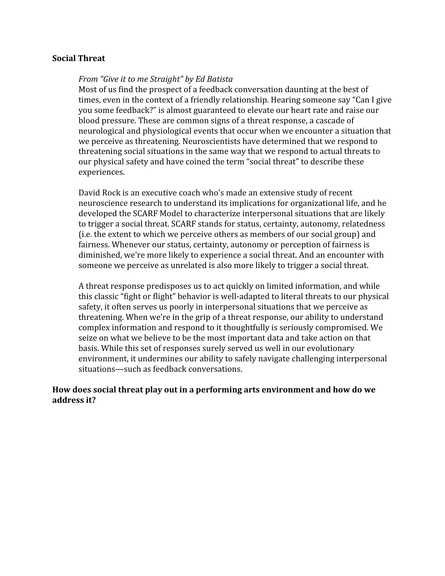#### **Social Threat**

#### *From "Give it to me Straight" by Ed Batista*

Most of us find the prospect of a feedback conversation daunting at the best of times, even in the context of a friendly relationship. Hearing someone say "Can I give you some feedback?" is almost guaranteed to elevate our heart rate and raise our blood pressure. These are common signs of a threat response, a cascade of neurological and physiological events that occur when we encounter a situation that we perceive as threatening. Neuroscientists have determined that we respond to threatening social situations in the same way that we respond to actual threats to our physical safety and have coined the term "social threat" to describe these experiences.

David Rock is an executive coach who's made an extensive study of recent neuroscience research to understand its implications for organizational life, and he developed the SCARF Model to characterize interpersonal situations that are likely to trigger a social threat. SCARF stands for status, certainty, autonomy, relatedness (i.e. the extent to which we perceive others as members of our social group) and fairness. Whenever our status, certainty, autonomy or perception of fairness is diminished, we're more likely to experience a social threat. And an encounter with someone we perceive as unrelated is also more likely to trigger a social threat.

A threat response predisposes us to act quickly on limited information, and while this classic "fight or flight" behavior is well-adapted to literal threats to our physical safety, it often serves us poorly in interpersonal situations that we perceive as threatening. When we're in the grip of a threat response, our ability to understand complex information and respond to it thoughtfully is seriously compromised. We seize on what we believe to be the most important data and take action on that basis. While this set of responses surely served us well in our evolutionary environment, it undermines our ability to safely navigate challenging interpersonal situations—such as feedback conversations.

### **How does social threat play out in a performing arts environment and how do we address it?**